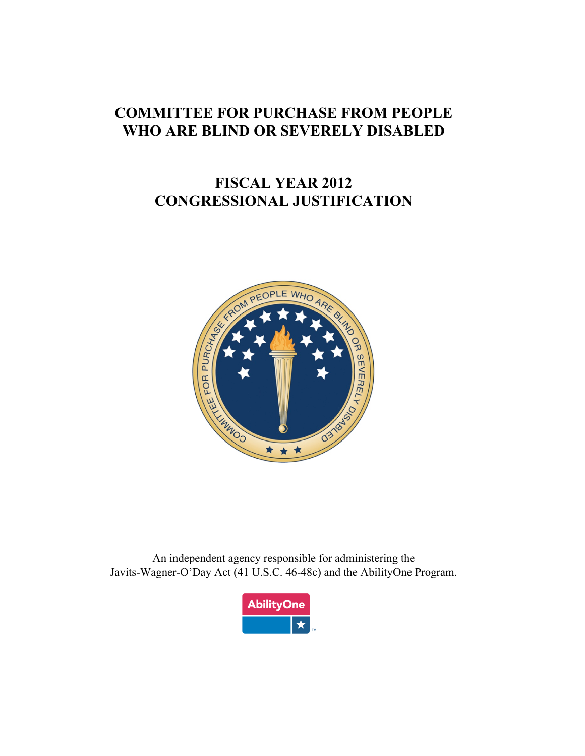# **COMMITTEE FOR PURCHASE FROM PEOPLE WHO ARE BLIND OR SEVERELY DISABLED**

# **FISCAL YEAR 2012 CONGRESSIONAL JUSTIFICATION**



 An independent agency responsible for administering the Javits-Wagner-O'Day Act (41 U.S.C. 46-48c) and the AbilityOne Program.

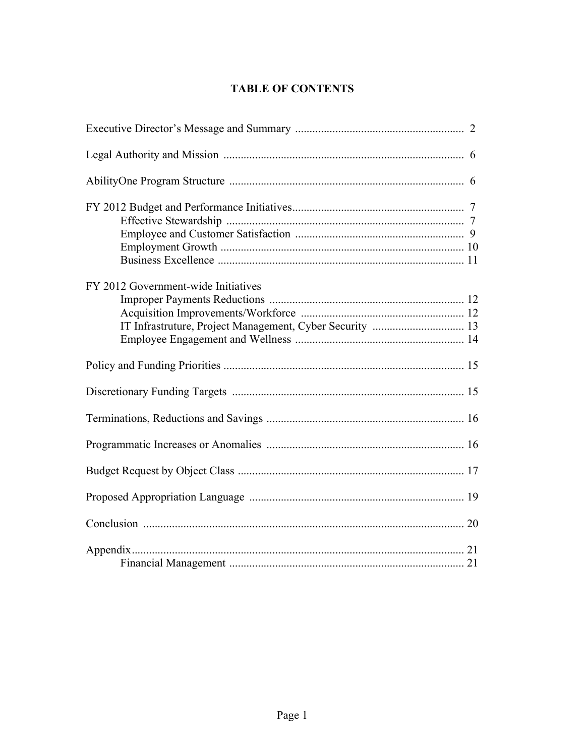### **TABLE OF CONTENTS**

| FY 2012 Government-wide Initiatives |  |
|-------------------------------------|--|
|                                     |  |
|                                     |  |
|                                     |  |
|                                     |  |
|                                     |  |
|                                     |  |
|                                     |  |
|                                     |  |
|                                     |  |
|                                     |  |
|                                     |  |
|                                     |  |
|                                     |  |
|                                     |  |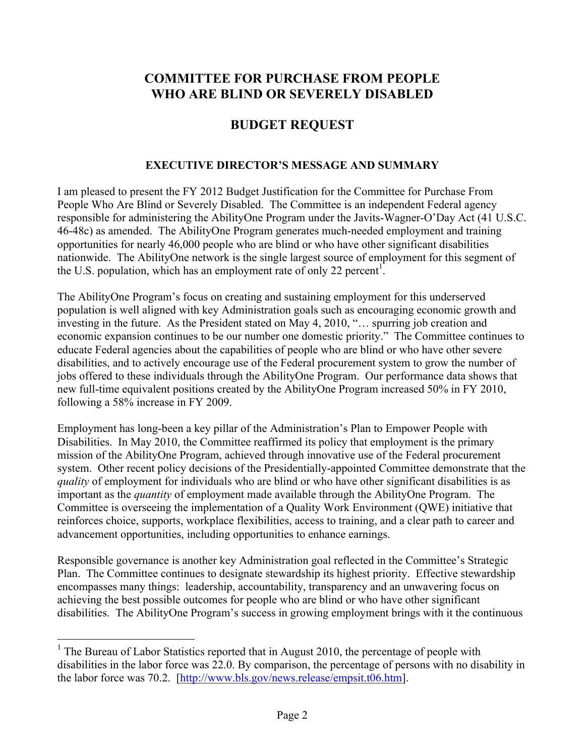# <span id="page-2-0"></span> **WHO ARE BLIND OR SEVERELY DISABLED COMMITTEE FOR PURCHASE FROM PEOPLE**

### **BUDGET REQUEST**

#### **EXECUTIVE DIRECTOR'S MESSAGE AND SUMMARY**

 46-48c) as amended. The AbilityOne Program generates much-needed employment and training the U.S. population, which has an employment rate of only 22 percent<sup>1</sup>. I am pleased to present the FY 2012 Budget Justification for the Committee for Purchase From People Who Are Blind or Severely Disabled. The Committee is an independent Federal agency responsible for administering the AbilityOne Program under the Javits-Wagner-O'Day Act (41 U.S.C. opportunities for nearly 46,000 people who are blind or who have other significant disabilities nationwide. The AbilityOne network is the single largest source of employment for this segment of

 investing in the future. As the President stated on May 4, 2010, "… spurring job creation and economic expansion continues to be our number one domestic priority." The Committee continues to following a 58% increase in FY 2009. . The AbilityOne Program's focus on creating and sustaining employment for this underserved population is well aligned with key Administration goals such as encouraging economic growth and educate Federal agencies about the capabilities of people who are blind or who have other severe disabilities, and to actively encourage use of the Federal procurement system to grow the number of jobs offered to these individuals through the AbilityOne Program. Our performance data shows that new full-time equivalent positions created by the AbilityOne Program increased 50% in FY 2010,

following a 58% increase in FY 2009.<br>Employment has long-been a key pillar of the Administration's Plan to Empower People with system. Other recent policy decisions of the Presidentially-appointed Committee demonstrate that the *quality* of employment for individuals who are blind or who have other significant disabilities is as Disabilities. In May 2010, the Committee reaffirmed its policy that employment is the primary mission of the AbilityOne Program, achieved through innovative use of the Federal procurement important as the *quantity* of employment made available through the AbilityOne Program. The Committee is overseeing the implementation of a Quality Work Environment (QWE) initiative that reinforces choice, supports, workplace flexibilities, access to training, and a clear path to career and advancement opportunities, including opportunities to enhance earnings.

 Responsible governance is another key Administration goal reflected in the Committee's Strategic encompasses many things: leadership, accountability, transparency and an unwavering focus on Plan. The Committee continues to designate stewardship its highest priority. Effective stewardship achieving the best possible outcomes for people who are blind or who have other significant disabilities. The AbilityOne Program's success in growing employment brings with it the continuous

 $\overline{a}$ 

<sup>&</sup>lt;sup>1</sup> The Bureau of Labor Statistics reported that in August 2010, the percentage of people with disabilities in the labor force was 22.0. By comparison, the percentage of persons with no disability in the labor force was 70.2. [http://www.bls.gov/news.release/empsit.t06.htm].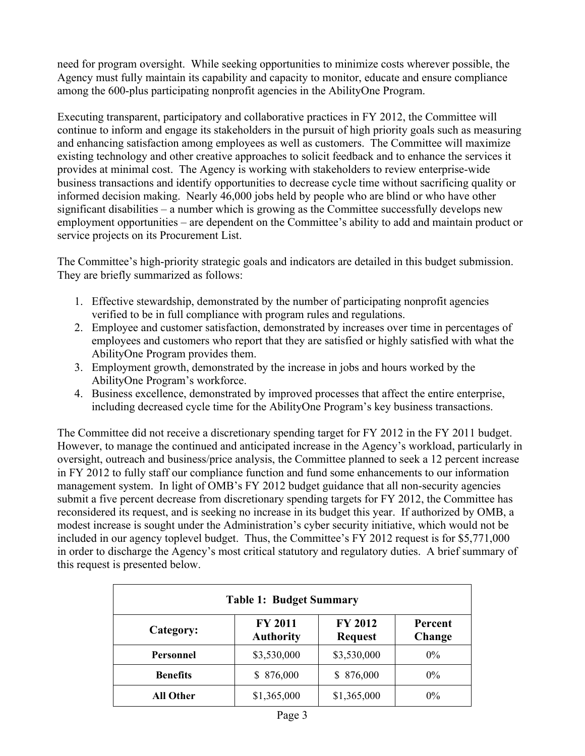need for program oversight. While seeking opportunities to minimize costs wherever possible, the Agency must fully maintain its capability and capacity to monitor, educate and ensure compliance among the 600-plus participating nonprofit agencies in the AbilityOne Program.

 Executing transparent, participatory and collaborative practices in FY 2012, the Committee will and enhancing satisfaction among employees as well as customers. The Committee will maximize service projects on its Procurement List. continue to inform and engage its stakeholders in the pursuit of high priority goals such as measuring existing technology and other creative approaches to solicit feedback and to enhance the services it provides at minimal cost. The Agency is working with stakeholders to review enterprise-wide business transactions and identify opportunities to decrease cycle time without sacrificing quality or informed decision making. Nearly 46,000 jobs held by people who are blind or who have other significant disabilities – a number which is growing as the Committee successfully develops new employment opportunities – are dependent on the Committee's ability to add and maintain product or

The Committee's high-priority strategic goals and indicators are detailed in this budget submission. They are briefly summarized as follows:

- 1. Effective stewardship, demonstrated by the number of participating nonprofit agencies verified to be in full compliance with program rules and regulations.
- 2. Employee and customer satisfaction, demonstrated by increases over time in percentages of employees and customers who report that they are satisfied or highly satisfied with what the AbilityOne Program provides them.
- 3. Employment growth, demonstrated by the increase in jobs and hours worked by the AbilityOne Program's workforce.
- 4. Business excellence, demonstrated by improved processes that affect the entire enterprise, including decreased cycle time for the AbilityOne Program's key business transactions.

 management system. In light of OMB's FY 2012 budget guidance that all non-security agencies submit a five percent decrease from discretionary spending targets for FY 2012, the Committee has in order to discharge the Agency's most critical statutory and regulatory duties. A brief summary of this request is presented below. The Committee did not receive a discretionary spending target for FY 2012 in the FY 2011 budget. However, to manage the continued and anticipated increase in the Agency's workload, particularly in oversight, outreach and business/price analysis, the Committee planned to seek a 12 percent increase in FY 2012 to fully staff our compliance function and fund some enhancements to our information reconsidered its request, and is seeking no increase in its budget this year. If authorized by OMB, a modest increase is sought under the Administration's cyber security initiative, which would not be included in our agency toplevel budget. Thus, the Committee's FY 2012 request is for \$5,771,000

| <b>Table 1: Budget Summary</b> |                                    |                                  |                   |  |  |
|--------------------------------|------------------------------------|----------------------------------|-------------------|--|--|
| Category:                      | <b>FY 2011</b><br><b>Authority</b> | <b>FY 2012</b><br><b>Request</b> | Percent<br>Change |  |  |
| <b>Personnel</b>               | \$3,530,000                        | \$3,530,000                      | $0\%$             |  |  |
| <b>Benefits</b>                | \$876,000                          | \$876,000                        | $0\%$             |  |  |
| <b>All Other</b>               | \$1,365,000                        | \$1,365,000                      | $0\%$             |  |  |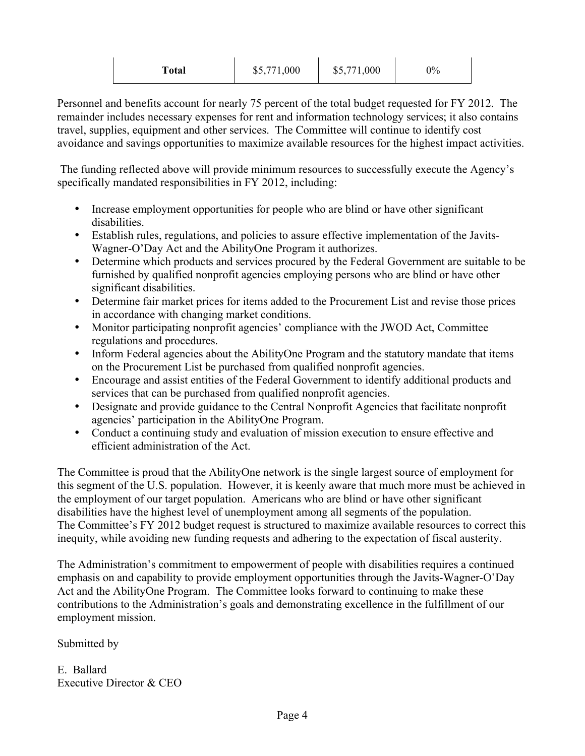| Total | \$5,771,000 | \$5,771,000 | 0% |
|-------|-------------|-------------|----|
|       |             |             |    |

Personnel and benefits account for nearly 75 percent of the total budget requested for FY 2012. The remainder includes necessary expenses for rent and information technology services; it also contains travel, supplies, equipment and other services. The Committee will continue to identify cost avoidance and savings opportunities to maximize available resources for the highest impact activities.

 The funding reflected above will provide minimum resources to successfully execute the Agency's specifically mandated responsibilities in FY 2012, including:

- Increase employment opportunities for people who are blind or have other significant disabilities.
- Establish rules, regulations, and policies to assure effective implementation of the Javits-Wagner-O'Day Act and the AbilityOne Program it authorizes.
- Determine which products and services procured by the Federal Government are suitable to be furnished by qualified nonprofit agencies employing persons who are blind or have other significant disabilities.
- Determine fair market prices for items added to the Procurement List and revise those prices in accordance with changing market conditions.
- Monitor participating nonprofit agencies' compliance with the JWOD Act, Committee regulations and procedures.
- Inform Federal agencies about the AbilityOne Program and the statutory mandate that items on the Procurement List be purchased from qualified nonprofit agencies.
- Encourage and assist entities of the Federal Government to identify additional products and services that can be purchased from qualified nonprofit agencies.
- • Designate and provide guidance to the Central Nonprofit Agencies that facilitate nonprofit agencies' participation in the AbilityOne Program.
- Conduct a continuing study and evaluation of mission execution to ensure effective and efficient administration of the Act.

 the employment of our target population. Americans who are blind or have other significant The Committee's FY 2012 budget request is structured to maximize available resources to correct this The Committee is proud that the AbilityOne network is the single largest source of employment for this segment of the U.S. population. However, it is keenly aware that much more must be achieved in disabilities have the highest level of unemployment among all segments of the population. inequity, while avoiding new funding requests and adhering to the expectation of fiscal austerity.

 The Administration's commitment to empowerment of people with disabilities requires a continued contributions to the Administration's goals and demonstrating excellence in the fulfillment of our emphasis on and capability to provide employment opportunities through the Javits-Wagner-O'Day Act and the AbilityOne Program. The Committee looks forward to continuing to make these employment mission.

Submitted by

E. Ballard Executive Director & CEO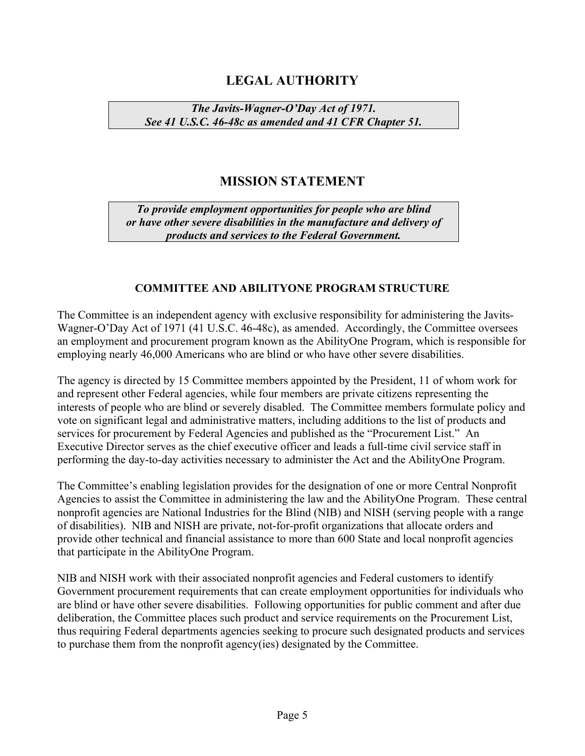# **LEGAL AUTHORITY**

*The Javits-Wagner-O'Day Act of 1971. See 41 U.S.C. 46-48c as amended and 41 CFR Chapter 51.*

# **MISSION STATEMENT**

*To provide employment opportunities for people who are blind or have other severe disabilities in the manufacture and delivery of products and services to the Federal Government.* 

#### **COMMITTEE AND ABILITYONE PROGRAM STRUCTURE**

 The Committee is an independent agency with exclusive responsibility for administering the Javits- Wagner-O'Day Act of 1971 (41 U.S.C. 46-48c), as amended. Accordingly, the Committee oversees an employment and procurement program known as the AbilityOne Program, which is responsible for employing nearly 46,000 Americans who are blind or who have other severe disabilities.

 interests of people who are blind or severely disabled. The Committee members formulate policy and services for procurement by Federal Agencies and published as the "Procurement List." An The agency is directed by 15 Committee members appointed by the President, 11 of whom work for and represent other Federal agencies, while four members are private citizens representing the vote on significant legal and administrative matters, including additions to the list of products and Executive Director serves as the chief executive officer and leads a full-time civil service staff in performing the day-to-day activities necessary to administer the Act and the AbilityOne Program.

The Committee's enabling legislation provides for the designation of one or more Central Nonprofit Agencies to assist the Committee in administering the law and the AbilityOne Program. These central nonprofit agencies are National Industries for the Blind (NIB) and NISH (serving people with a range of disabilities). NIB and NISH are private, not-for-profit organizations that allocate orders and provide other technical and financial assistance to more than 600 State and local nonprofit agencies that participate in the AbilityOne Program.

NIB and NISH work with their associated nonprofit agencies and Federal customers to identify Government procurement requirements that can create employment opportunities for individuals who are blind or have other severe disabilities. Following opportunities for public comment and after due deliberation, the Committee places such product and service requirements on the Procurement List, thus requiring Federal departments agencies seeking to procure such designated products and services to purchase them from the nonprofit agency(ies) designated by the Committee.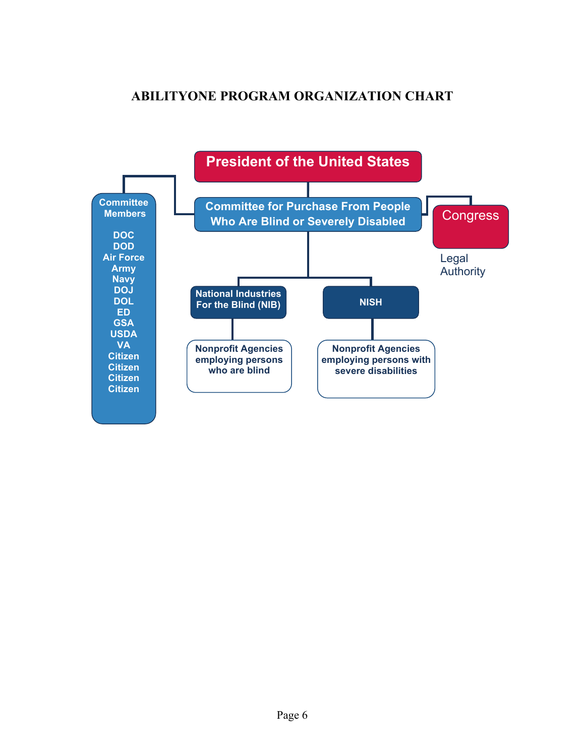# **ABILITYONE PROGRAM ORGANIZATION CHART**

<span id="page-6-0"></span>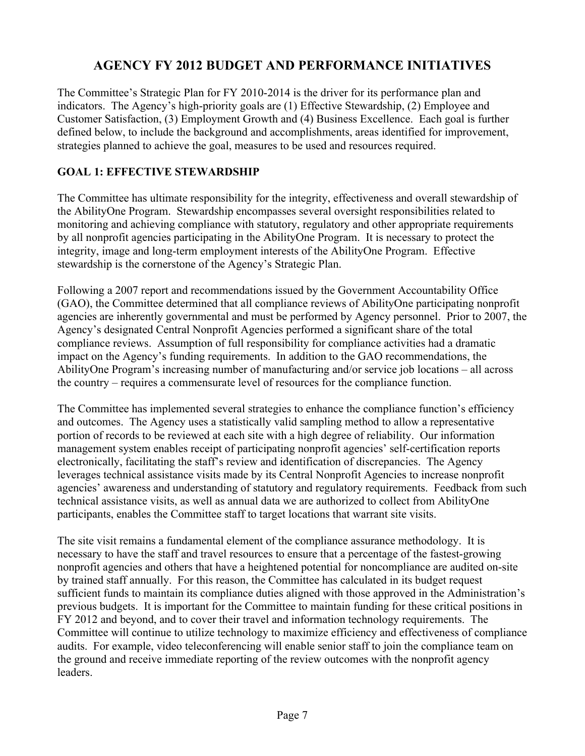# **AGENCY FY 2012 BUDGET AND PERFORMANCE INITIATIVES**

<span id="page-7-0"></span>The Committee's Strategic Plan for FY 2010-2014 is the driver for its performance plan and indicators. The Agency's high-priority goals are (1) Effective Stewardship, (2) Employee and Customer Satisfaction, (3) Employment Growth and (4) Business Excellence. Each goal is further defined below, to include the background and accomplishments, areas identified for improvement, strategies planned to achieve the goal, measures to be used and resources required.

### **GOAL 1: EFFECTIVE STEWARDSHIP**

 integrity, image and long-term employment interests of the AbilityOne Program. Effective stewardship is the cornerstone of the Agency's Strategic Plan. The Committee has ultimate responsibility for the integrity, effectiveness and overall stewardship of the AbilityOne Program. Stewardship encompasses several oversight responsibilities related to monitoring and achieving compliance with statutory, regulatory and other appropriate requirements by all nonprofit agencies participating in the AbilityOne Program. It is necessary to protect the

 compliance reviews. Assumption of full responsibility for compliance activities had a dramatic impact on the Agency's funding requirements. In addition to the GAO recommendations, the AbilityOne Program's increasing number of manufacturing and/or service job locations – all across the country – requires a commensurate level of resources for the compliance function. Following a 2007 report and recommendations issued by the Government Accountability Office (GAO), the Committee determined that all compliance reviews of AbilityOne participating nonprofit agencies are inherently governmental and must be performed by Agency personnel. Prior to 2007, the Agency's designated Central Nonprofit Agencies performed a significant share of the total

 management system enables receipt of participating nonprofit agencies' self-certification reports electronically, facilitating the staff's review and identification of discrepancies. The Agency technical assistance visits, as well as annual data we are authorized to collect from AbilityOne participants, enables the Committee staff to target locations that warrant site visits. The Committee has implemented several strategies to enhance the compliance function's efficiency and outcomes. The Agency uses a statistically valid sampling method to allow a representative portion of records to be reviewed at each site with a high degree of reliability. Our information leverages technical assistance visits made by its Central Nonprofit Agencies to increase nonprofit agencies' awareness and understanding of statutory and regulatory requirements. Feedback from such

 participants, enables the Committee staff to target locations that warrant site visits. The site visit remains a fundamental element of the compliance assurance methodology. It is by trained staff annually. For this reason, the Committee has calculated in its budget request audits. For example, video teleconferencing will enable senior staff to join the compliance team on leaders. necessary to have the staff and travel resources to ensure that a percentage of the fastest-growing nonprofit agencies and others that have a heightened potential for noncompliance are audited on-site sufficient funds to maintain its compliance duties aligned with those approved in the Administration's previous budgets. It is important for the Committee to maintain funding for these critical positions in FY 2012 and beyond, and to cover their travel and information technology requirements. The Committee will continue to utilize technology to maximize efficiency and effectiveness of compliance the ground and receive immediate reporting of the review outcomes with the nonprofit agency leaders.<br>Page 7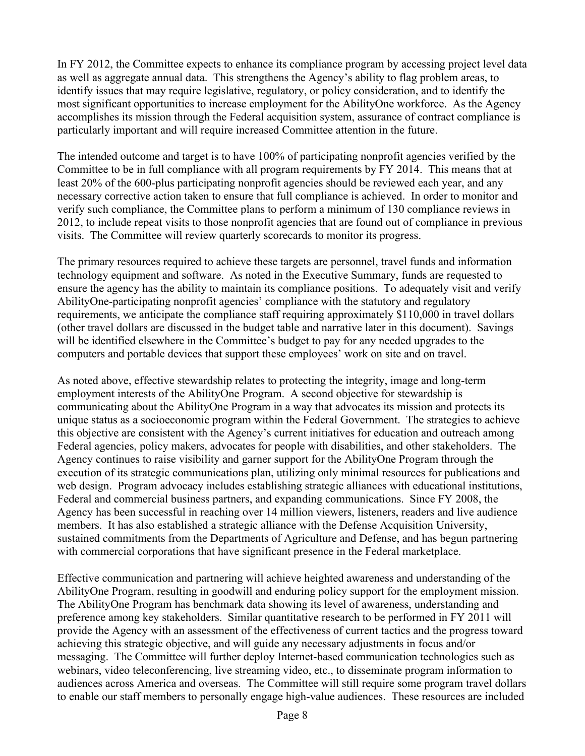as well as aggregate annual data. This strengthens the Agency's ability to flag problem areas, to In FY 2012, the Committee expects to enhance its compliance program by accessing project level data identify issues that may require legislative, regulatory, or policy consideration, and to identify the most significant opportunities to increase employment for the AbilityOne workforce. As the Agency accomplishes its mission through the Federal acquisition system, assurance of contract compliance is particularly important and will require increased Committee attention in the future.

 least 20% of the 600-plus participating nonprofit agencies should be reviewed each year, and any The intended outcome and target is to have 100% of participating nonprofit agencies verified by the Committee to be in full compliance with all program requirements by FY 2014. This means that at necessary corrective action taken to ensure that full compliance is achieved. In order to monitor and verify such compliance, the Committee plans to perform a minimum of 130 compliance reviews in 2012, to include repeat visits to those nonprofit agencies that are found out of compliance in previous visits. The Committee will review quarterly scorecards to monitor its progress.

 technology equipment and software. As noted in the Executive Summary, funds are requested to The primary resources required to achieve these targets are personnel, travel funds and information ensure the agency has the ability to maintain its compliance positions. To adequately visit and verify AbilityOne-participating nonprofit agencies' compliance with the statutory and regulatory requirements, we anticipate the compliance staff requiring approximately \$110,000 in travel dollars (other travel dollars are discussed in the budget table and narrative later in this document). Savings will be identified elsewhere in the Committee's budget to pay for any needed upgrades to the computers and portable devices that support these employees' work on site and on travel.

 Agency has been successful in reaching over 14 million viewers, listeners, readers and live audience As noted above, effective stewardship relates to protecting the integrity, image and long-term employment interests of the AbilityOne Program. A second objective for stewardship is communicating about the AbilityOne Program in a way that advocates its mission and protects its unique status as a socioeconomic program within the Federal Government. The strategies to achieve this objective are consistent with the Agency's current initiatives for education and outreach among Federal agencies, policy makers, advocates for people with disabilities, and other stakeholders. The Agency continues to raise visibility and garner support for the AbilityOne Program through the execution of its strategic communications plan, utilizing only minimal resources for publications and web design. Program advocacy includes establishing strategic alliances with educational institutions, Federal and commercial business partners, and expanding communications. Since FY 2008, the members. It has also established a strategic alliance with the Defense Acquisition University, sustained commitments from the Departments of Agriculture and Defense, and has begun partnering with commercial corporations that have significant presence in the Federal marketplace.

 AbilityOne Program, resulting in goodwill and enduring policy support for the employment mission. audiences across America and overseas. The Committee will still require some program travel dollars Effective communication and partnering will achieve heighted awareness and understanding of the The AbilityOne Program has benchmark data showing its level of awareness, understanding and preference among key stakeholders. Similar quantitative research to be performed in FY 2011 will provide the Agency with an assessment of the effectiveness of current tactics and the progress toward achieving this strategic objective, and will guide any necessary adjustments in focus and/or messaging. The Committee will further deploy Internet-based communication technologies such as webinars, video teleconferencing, live streaming video, etc., to disseminate program information to to enable our staff members to personally engage high-value audiences. These resources are included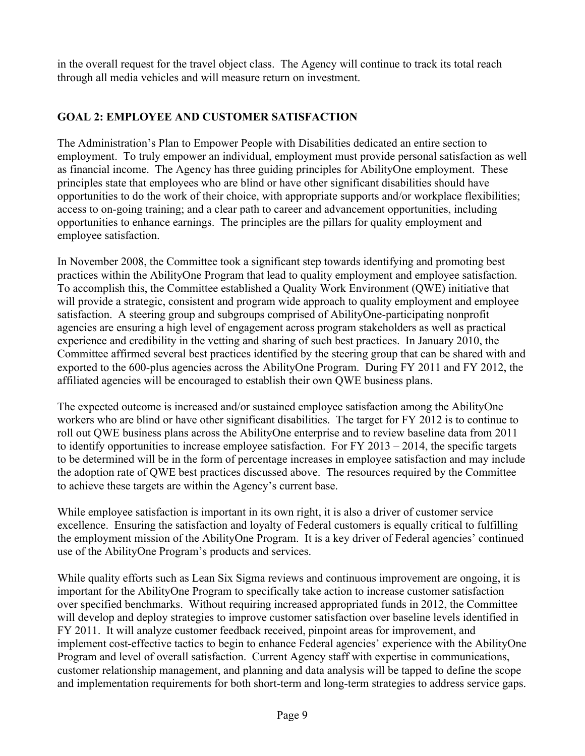<span id="page-9-0"></span>in the overall request for the travel object class. The Agency will continue to track its total reach through all media vehicles and will measure return on investment.

### **GOAL 2: EMPLOYEE AND CUSTOMER SATISFACTION**

The Administration's Plan to Empower People with Disabilities dedicated an entire section to employment. To truly empower an individual, employment must provide personal satisfaction as well as financial income. The Agency has three guiding principles for AbilityOne employment. These principles state that employees who are blind or have other significant disabilities should have opportunities to do the work of their choice, with appropriate supports and/or workplace flexibilities; access to on-going training; and a clear path to career and advancement opportunities, including opportunities to enhance earnings. The principles are the pillars for quality employment and employee satisfaction.

In November 2008, the Committee took a significant step towards identifying and promoting best practices within the AbilityOne Program that lead to quality employment and employee satisfaction. To accomplish this, the Committee established a Quality Work Environment (QWE) initiative that will provide a strategic, consistent and program wide approach to quality employment and employee satisfaction. A steering group and subgroups comprised of AbilityOne-participating nonprofit agencies are ensuring a high level of engagement across program stakeholders as well as practical experience and credibility in the vetting and sharing of such best practices. In January 2010, the Committee affirmed several best practices identified by the steering group that can be shared with and exported to the 600-plus agencies across the AbilityOne Program. During FY 2011 and FY 2012, the affiliated agencies will be encouraged to establish their own QWE business plans.

 roll out QWE business plans across the AbilityOne enterprise and to review baseline data from 2011 to identify opportunities to increase employee satisfaction. For FY 2013 – 2014, the specific targets the adoption rate of QWE best practices discussed above. The resources required by the Committee The expected outcome is increased and/or sustained employee satisfaction among the AbilityOne workers who are blind or have other significant disabilities. The target for FY 2012 is to continue to to be determined will be in the form of percentage increases in employee satisfaction and may include to achieve these targets are within the Agency's current base.

 the employment mission of the AbilityOne Program. It is a key driver of Federal agencies' continued While employee satisfaction is important in its own right, it is also a driver of customer service excellence. Ensuring the satisfaction and loyalty of Federal customers is equally critical to fulfilling use of the AbilityOne Program's products and services.

While quality efforts such as Lean Six Sigma reviews and continuous improvement are ongoing, it is important for the AbilityOne Program to specifically take action to increase customer satisfaction over specified benchmarks. Without requiring increased appropriated funds in 2012, the Committee will develop and deploy strategies to improve customer satisfaction over baseline levels identified in FY 2011. It will analyze customer feedback received, pinpoint areas for improvement, and implement cost-effective tactics to begin to enhance Federal agencies' experience with the AbilityOne Program and level of overall satisfaction. Current Agency staff with expertise in communications, customer relationship management, and planning and data analysis will be tapped to define the scope and implementation requirements for both short-term and long-term strategies to address service gaps.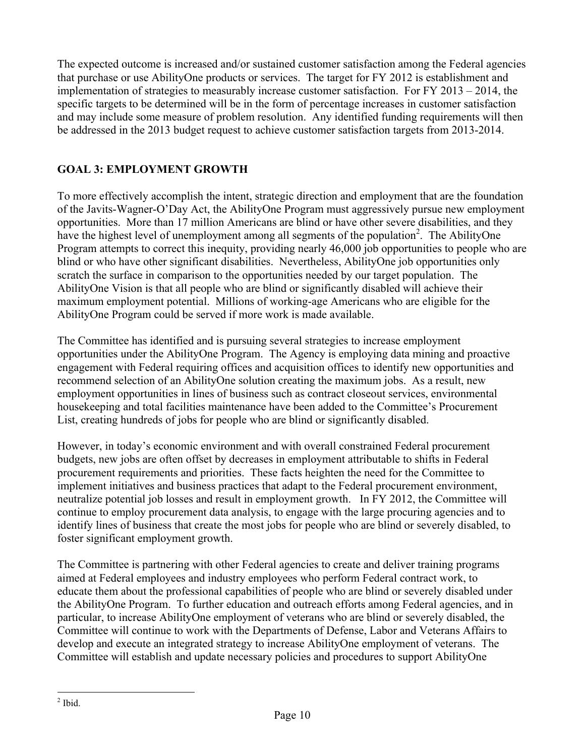<span id="page-10-0"></span> that purchase or use AbilityOne products or services. The target for FY 2012 is establishment and implementation of strategies to measurably increase customer satisfaction. For FY 2013 – 2014, the The expected outcome is increased and/or sustained customer satisfaction among the Federal agencies specific targets to be determined will be in the form of percentage increases in customer satisfaction and may include some measure of problem resolution. Any identified funding requirements will then be addressed in the 2013 budget request to achieve customer satisfaction targets from 2013-2014.

### **GOAL 3: EMPLOYMENT GROWTH**

 of the Javits-Wagner-O'Day Act, the AbilityOne Program must aggressively pursue new employment AbilityOne Program could be served if more work is made available. To more effectively accomplish the intent, strategic direction and employment that are the foundation opportunities. More than 17 million Americans are blind or have other severe disabilities, and they have the highest level of unemployment among all segments of the population<sup>2</sup>. The AbilityOne Program attempts to correct this inequity, providing nearly 46,000 job opportunities to people who are blind or who have other significant disabilities. Nevertheless, AbilityOne job opportunities only scratch the surface in comparison to the opportunities needed by our target population. The AbilityOne Vision is that all people who are blind or significantly disabled will achieve their maximum employment potential. Millions of working-age Americans who are eligible for the

The Committee has identified and is pursuing several strategies to increase employment opportunities under the AbilityOne Program. The Agency is employing data mining and proactive engagement with Federal requiring offices and acquisition offices to identify new opportunities and recommend selection of an AbilityOne solution creating the maximum jobs. As a result, new employment opportunities in lines of business such as contract closeout services, environmental housekeeping and total facilities maintenance have been added to the Committee's Procurement List, creating hundreds of jobs for people who are blind or significantly disabled.

 neutralize potential job losses and result in employment growth. In FY 2012, the Committee will However, in today's economic environment and with overall constrained Federal procurement budgets, new jobs are often offset by decreases in employment attributable to shifts in Federal procurement requirements and priorities. These facts heighten the need for the Committee to implement initiatives and business practices that adapt to the Federal procurement environment, continue to employ procurement data analysis, to engage with the large procuring agencies and to identify lines of business that create the most jobs for people who are blind or severely disabled, to foster significant employment growth.

 the AbilityOne Program. To further education and outreach efforts among Federal agencies, and in The Committee is partnering with other Federal agencies to create and deliver training programs aimed at Federal employees and industry employees who perform Federal contract work, to educate them about the professional capabilities of people who are blind or severely disabled under particular, to increase AbilityOne employment of veterans who are blind or severely disabled, the Committee will continue to work with the Departments of Defense, Labor and Veterans Affairs to develop and execute an integrated strategy to increase AbilityOne employment of veterans. The Committee will establish and update necessary policies and procedures to support AbilityOne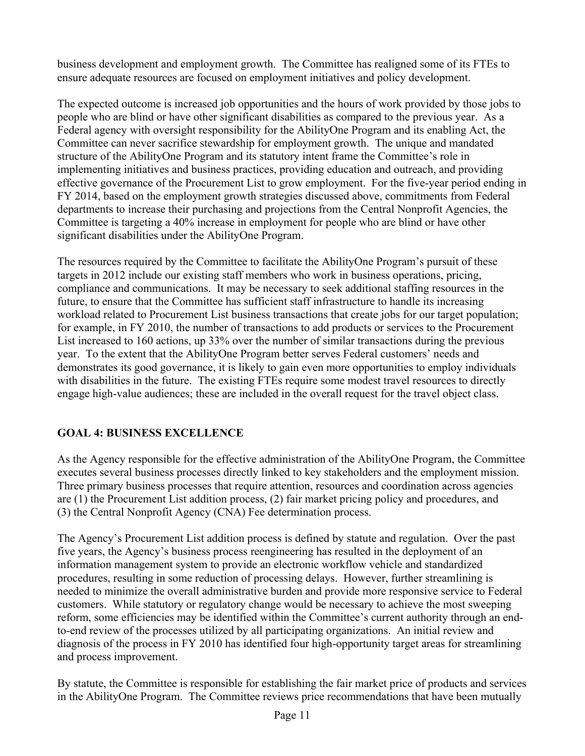<span id="page-11-0"></span>business development and employment growth. The Committee has realigned some of its FTEs to ensure adequate resources are focused on employment initiatives and policy development.

 people who are blind or have other significant disabilities as compared to the previous year. As a significant disabilities under the AbilityOne Program. The expected outcome is increased job opportunities and the hours of work provided by those jobs to Federal agency with oversight responsibility for the AbilityOne Program and its enabling Act, the Committee can never sacrifice stewardship for employment growth. The unique and mandated structure of the AbilityOne Program and its statutory intent frame the Committee's role in implementing initiatives and business practices, providing education and outreach, and providing effective governance of the Procurement List to grow employment. For the five-year period ending in FY 2014, based on the employment growth strategies discussed above, commitments from Federal departments to increase their purchasing and projections from the Central Nonprofit Agencies, the Committee is targeting a 40% increase in employment for people who are blind or have other

 with disabilities in the future. The existing FTEs require some modest travel resources to directly The resources required by the Committee to facilitate the AbilityOne Program's pursuit of these targets in 2012 include our existing staff members who work in business operations, pricing, compliance and communications. It may be necessary to seek additional staffing resources in the future, to ensure that the Committee has sufficient staff infrastructure to handle its increasing workload related to Procurement List business transactions that create jobs for our target population; for example, in FY 2010, the number of transactions to add products or services to the Procurement List increased to 160 actions, up 33% over the number of similar transactions during the previous year. To the extent that the AbilityOne Program better serves Federal customers' needs and demonstrates its good governance, it is likely to gain even more opportunities to employ individuals engage high-value audiences; these are included in the overall request for the travel object class.

### **GOAL 4: BUSINESS EXCELLENCE**

As the Agency responsible for the effective administration of the AbilityOne Program, the Committee executes several business processes directly linked to key stakeholders and the employment mission. Three primary business processes that require attention, resources and coordination across agencies are (1) the Procurement List addition process, (2) fair market pricing policy and procedures, and (3) the Central Nonprofit Agency (CNA) Fee determination process.

 information management system to provide an electronic workflow vehicle and standardized customers. While statutory or regulatory change would be necessary to achieve the most sweeping The Agency's Procurement List addition process is defined by statute and regulation. Over the past five years, the Agency's business process reengineering has resulted in the deployment of an procedures, resulting in some reduction of processing delays. However, further streamlining is needed to minimize the overall administrative burden and provide more responsive service to Federal reform, some efficiencies may be identified within the Committee's current authority through an endto-end review of the processes utilized by all participating organizations. An initial review and diagnosis of the process in FY 2010 has identified four high-opportunity target areas for streamlining and process improvement.

By statute, the Committee is responsible for establishing the fair market price of products and services in the AbilityOne Program. The Committee reviews price recommendations that have been mutually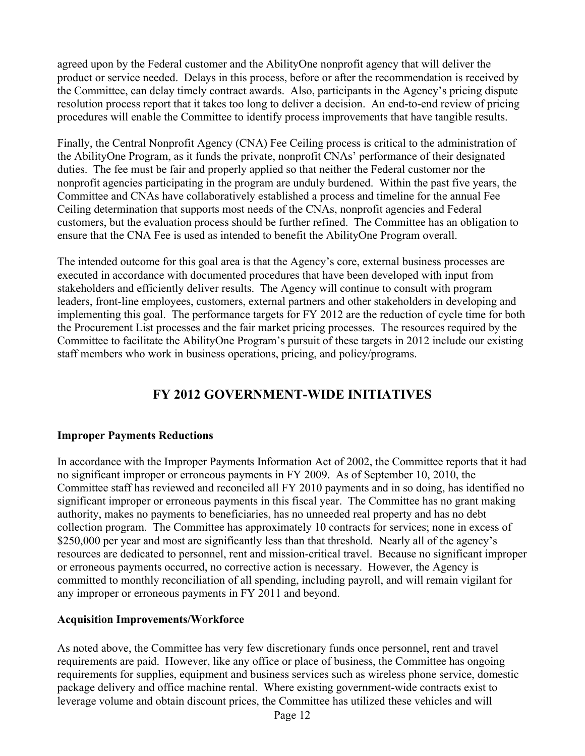<span id="page-12-0"></span> resolution process report that it takes too long to deliver a decision. An end-to-end review of pricing agreed upon by the Federal customer and the AbilityOne nonprofit agency that will deliver the product or service needed. Delays in this process, before or after the recommendation is received by the Committee, can delay timely contract awards. Also, participants in the Agency's pricing dispute procedures will enable the Committee to identify process improvements that have tangible results.

 Ceiling determination that supports most needs of the CNAs, nonprofit agencies and Federal Finally, the Central Nonprofit Agency (CNA) Fee Ceiling process is critical to the administration of the AbilityOne Program, as it funds the private, nonprofit CNAs' performance of their designated duties. The fee must be fair and properly applied so that neither the Federal customer nor the nonprofit agencies participating in the program are unduly burdened. Within the past five years, the Committee and CNAs have collaboratively established a process and timeline for the annual Fee customers, but the evaluation process should be further refined. The Committee has an obligation to ensure that the CNA Fee is used as intended to benefit the AbilityOne Program overall.

The intended outcome for this goal area is that the Agency's core, external business processes are executed in accordance with documented procedures that have been developed with input from stakeholders and efficiently deliver results. The Agency will continue to consult with program leaders, front-line employees, customers, external partners and other stakeholders in developing and implementing this goal. The performance targets for FY 2012 are the reduction of cycle time for both the Procurement List processes and the fair market pricing processes. The resources required by the Committee to facilitate the AbilityOne Program's pursuit of these targets in 2012 include our existing staff members who work in business operations, pricing, and policy/programs.

# **FY 2012 GOVERNMENT-WIDE INITIATIVES**

#### **Improper Payments Reductions**

 collection program. The Committee has approximately 10 contracts for services; none in excess of In accordance with the Improper Payments Information Act of 2002, the Committee reports that it had no significant improper or erroneous payments in FY 2009. As of September 10, 2010, the Committee staff has reviewed and reconciled all FY 2010 payments and in so doing, has identified no significant improper or erroneous payments in this fiscal year. The Committee has no grant making authority, makes no payments to beneficiaries, has no unneeded real property and has no debt \$250,000 per year and most are significantly less than that threshold. Nearly all of the agency's resources are dedicated to personnel, rent and mission-critical travel. Because no significant improper or erroneous payments occurred, no corrective action is necessary. However, the Agency is committed to monthly reconciliation of all spending, including payroll, and will remain vigilant for any improper or erroneous payments in FY 2011 and beyond.

#### **Acquisition Improvements/Workforce**

As noted above, the Committee has very few discretionary funds once personnel, rent and travel requirements are paid. However, like any office or place of business, the Committee has ongoing requirements for supplies, equipment and business services such as wireless phone service, domestic package delivery and office machine rental. Where existing government-wide contracts exist to leverage volume and obtain discount prices, the Committee has utilized these vehicles and will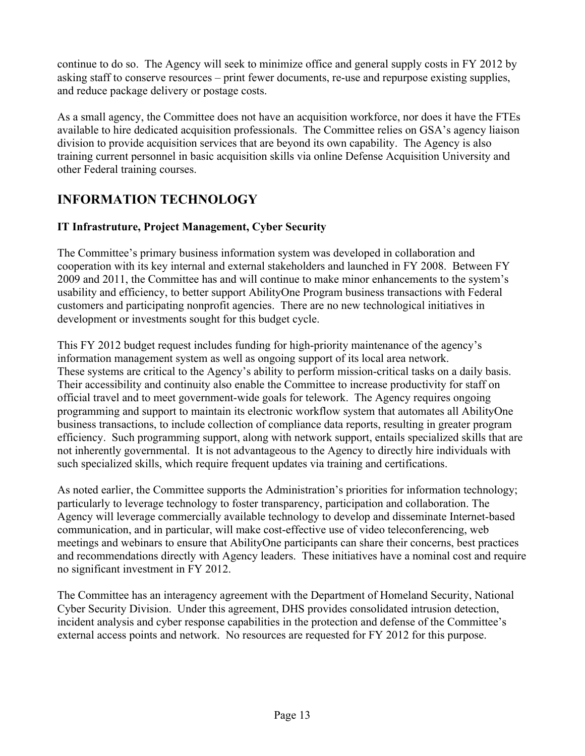<span id="page-13-0"></span>continue to do so. The Agency will seek to minimize office and general supply costs in FY 2012 by asking staff to conserve resources – print fewer documents, re-use and repurpose existing supplies, and reduce package delivery or postage costs.

As a small agency, the Committee does not have an acquisition workforce, nor does it have the FTEs available to hire dedicated acquisition professionals. The Committee relies on GSA's agency liaison division to provide acquisition services that are beyond its own capability. The Agency is also training current personnel in basic acquisition skills via online Defense Acquisition University and other Federal training courses.

# **INFORMATION TECHNOLOGY**

### **IT Infrastruture, Project Management, Cyber Security**

The Committee's primary business information system was developed in collaboration and cooperation with its key internal and external stakeholders and launched in FY 2008. Between FY 2009 and 2011, the Committee has and will continue to make minor enhancements to the system's usability and efficiency, to better support AbilityOne Program business transactions with Federal customers and participating nonprofit agencies. There are no new technological initiatives in development or investments sought for this budget cycle.

 information management system as well as ongoing support of its local area network. This FY 2012 budget request includes funding for high-priority maintenance of the agency's These systems are critical to the Agency's ability to perform mission-critical tasks on a daily basis. Their accessibility and continuity also enable the Committee to increase productivity for staff on official travel and to meet government-wide goals for telework. The Agency requires ongoing programming and support to maintain its electronic workflow system that automates all AbilityOne business transactions, to include collection of compliance data reports, resulting in greater program efficiency. Such programming support, along with network support, entails specialized skills that are not inherently governmental. It is not advantageous to the Agency to directly hire individuals with such specialized skills, which require frequent updates via training and certifications.

As noted earlier, the Committee supports the Administration's priorities for information technology; particularly to leverage technology to foster transparency, participation and collaboration. The Agency will leverage commercially available technology to develop and disseminate Internet-based communication, and in particular, will make cost-effective use of video teleconferencing, web meetings and webinars to ensure that AbilityOne participants can share their concerns, best practices and recommendations directly with Agency leaders. These initiatives have a nominal cost and require no significant investment in FY 2012.

The Committee has an interagency agreement with the Department of Homeland Security, National Cyber Security Division. Under this agreement, DHS provides consolidated intrusion detection, incident analysis and cyber response capabilities in the protection and defense of the Committee's external access points and network. No resources are requested for FY 2012 for this purpose.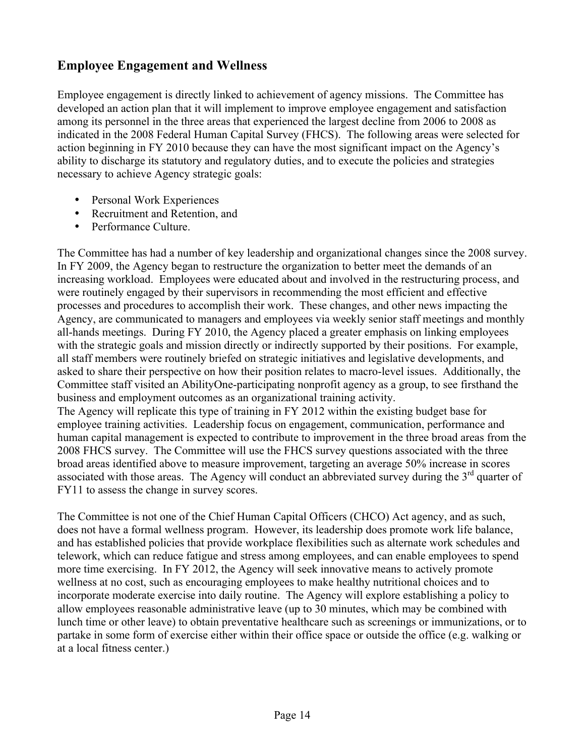### <span id="page-14-0"></span>**Employee Engagement and Wellness**

 necessary to achieve Agency strategic goals: Employee engagement is directly linked to achievement of agency missions. The Committee has developed an action plan that it will implement to improve employee engagement and satisfaction among its personnel in the three areas that experienced the largest decline from 2006 to 2008 as indicated in the 2008 Federal Human Capital Survey (FHCS). The following areas were selected for action beginning in FY 2010 because they can have the most significant impact on the Agency's ability to discharge its statutory and regulatory duties, and to execute the policies and strategies

- Personal Work Experiences
- Recruitment and Retention, and
- Performance Culture.

 business and employment outcomes as an organizational training activity. The Committee has had a number of key leadership and organizational changes since the 2008 survey. In FY 2009, the Agency began to restructure the organization to better meet the demands of an increasing workload. Employees were educated about and involved in the restructuring process, and were routinely engaged by their supervisors in recommending the most efficient and effective processes and procedures to accomplish their work. These changes, and other news impacting the Agency, are communicated to managers and employees via weekly senior staff meetings and monthly all-hands meetings. During FY 2010, the Agency placed a greater emphasis on linking employees with the strategic goals and mission directly or indirectly supported by their positions. For example, all staff members were routinely briefed on strategic initiatives and legislative developments, and asked to share their perspective on how their position relates to macro-level issues. Additionally, the Committee staff visited an AbilityOne-participating nonprofit agency as a group, to see firsthand the

 employee training activities. Leadership focus on engagement, communication, performance and 2008 FHCS survey. The Committee will use the FHCS survey questions associated with the three The Agency will replicate this type of training in FY 2012 within the existing budget base for human capital management is expected to contribute to improvement in the three broad areas from the broad areas identified above to measure improvement, targeting an average 50% increase in scores associated with those areas. The Agency will conduct an abbreviated survey during the  $3<sup>rd</sup>$  quarter of FY11 to assess the change in survey scores.

 does not have a formal wellness program. However, its leadership does promote work life balance, The Committee is not one of the Chief Human Capital Officers (CHCO) Act agency, and as such, and has established policies that provide workplace flexibilities such as alternate work schedules and telework, which can reduce fatigue and stress among employees, and can enable employees to spend more time exercising. In FY 2012, the Agency will seek innovative means to actively promote wellness at no cost, such as encouraging employees to make healthy nutritional choices and to incorporate moderate exercise into daily routine. The Agency will explore establishing a policy to allow employees reasonable administrative leave (up to 30 minutes, which may be combined with lunch time or other leave) to obtain preventative healthcare such as screenings or immunizations, or to partake in some form of exercise either within their office space or outside the office (e.g. walking or at a local fitness center.)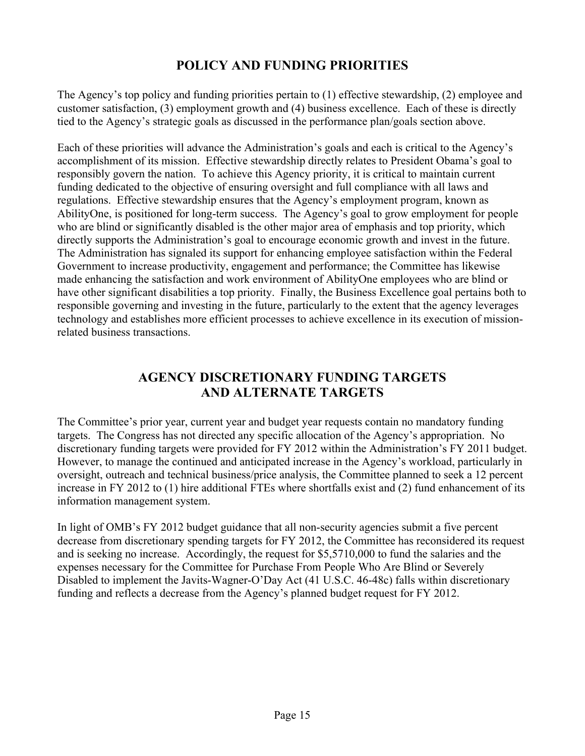### **POLICY AND FUNDING PRIORITIES**

<span id="page-15-0"></span>The Agency's top policy and funding priorities pertain to (1) effective stewardship, (2) employee and customer satisfaction, (3) employment growth and (4) business excellence. Each of these is directly tied to the Agency's strategic goals as discussed in the performance plan/goals section above.

 related business transactions. Each of these priorities will advance the Administration's goals and each is critical to the Agency's accomplishment of its mission. Effective stewardship directly relates to President Obama's goal to responsibly govern the nation. To achieve this Agency priority, it is critical to maintain current funding dedicated to the objective of ensuring oversight and full compliance with all laws and regulations. Effective stewardship ensures that the Agency's employment program, known as AbilityOne, is positioned for long-term success. The Agency's goal to grow employment for people who are blind or significantly disabled is the other major area of emphasis and top priority, which directly supports the Administration's goal to encourage economic growth and invest in the future. The Administration has signaled its support for enhancing employee satisfaction within the Federal Government to increase productivity, engagement and performance; the Committee has likewise made enhancing the satisfaction and work environment of AbilityOne employees who are blind or have other significant disabilities a top priority. Finally, the Business Excellence goal pertains both to responsible governing and investing in the future, particularly to the extent that the agency leverages technology and establishes more efficient processes to achieve excellence in its execution of mission-

# **AGENCY DISCRETIONARY FUNDING TARGETS AND ALTERNATE TARGETS**

The Committee's prior year, current year and budget year requests contain no mandatory funding targets. The Congress has not directed any specific allocation of the Agency's appropriation. No discretionary funding targets were provided for FY 2012 within the Administration's FY 2011 budget. However, to manage the continued and anticipated increase in the Agency's workload, particularly in oversight, outreach and technical business/price analysis, the Committee planned to seek a 12 percent increase in FY 2012 to (1) hire additional FTEs where shortfalls exist and (2) fund enhancement of its information management system.

In light of OMB's FY 2012 budget guidance that all non-security agencies submit a five percent decrease from discretionary spending targets for FY 2012, the Committee has reconsidered its request and is seeking no increase. Accordingly, the request for \$5,5710,000 to fund the salaries and the expenses necessary for the Committee for Purchase From People Who Are Blind or Severely Disabled to implement the Javits-Wagner-O'Day Act (41 U.S.C. 46-48c) falls within discretionary funding and reflects a decrease from the Agency's planned budget request for FY 2012.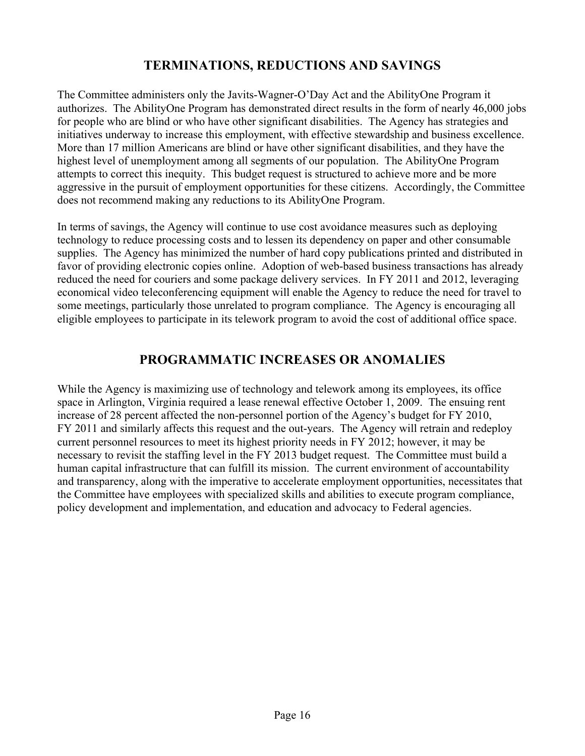### **TERMINATIONS, REDUCTIONS AND SAVINGS**

<span id="page-16-0"></span>authorizes. The AbilityOne Program has demonstrated direct results in the form of nearly 46,000 jobs The Committee administers only the Javits-Wagner-O'Day Act and the AbilityOne Program it for people who are blind or who have other significant disabilities. The Agency has strategies and initiatives underway to increase this employment, with effective stewardship and business excellence. More than 17 million Americans are blind or have other significant disabilities, and they have the highest level of unemployment among all segments of our population. The AbilityOne Program attempts to correct this inequity. This budget request is structured to achieve more and be more aggressive in the pursuit of employment opportunities for these citizens. Accordingly, the Committee does not recommend making any reductions to its AbilityOne Program.

In terms of savings, the Agency will continue to use cost avoidance measures such as deploying technology to reduce processing costs and to lessen its dependency on paper and other consumable supplies. The Agency has minimized the number of hard copy publications printed and distributed in favor of providing electronic copies online. Adoption of web-based business transactions has already reduced the need for couriers and some package delivery services. In FY 2011 and 2012, leveraging economical video teleconferencing equipment will enable the Agency to reduce the need for travel to some meetings, particularly those unrelated to program compliance. The Agency is encouraging all eligible employees to participate in its telework program to avoid the cost of additional office space.

### **PROGRAMMATIC INCREASES OR ANOMALIES**

 space in Arlington, Virginia required a lease renewal effective October 1, 2009. The ensuing rent increase of 28 percent affected the non-personnel portion of the Agency's budget for FY 2010, FY 2011 and similarly affects this request and the out-years. The Agency will retrain and redeploy the Committee have employees with specialized skills and abilities to execute program compliance, While the Agency is maximizing use of technology and telework among its employees, its office current personnel resources to meet its highest priority needs in FY 2012; however, it may be necessary to revisit the staffing level in the FY 2013 budget request. The Committee must build a human capital infrastructure that can fulfill its mission. The current environment of accountability and transparency, along with the imperative to accelerate employment opportunities, necessitates that policy development and implementation, and education and advocacy to Federal agencies.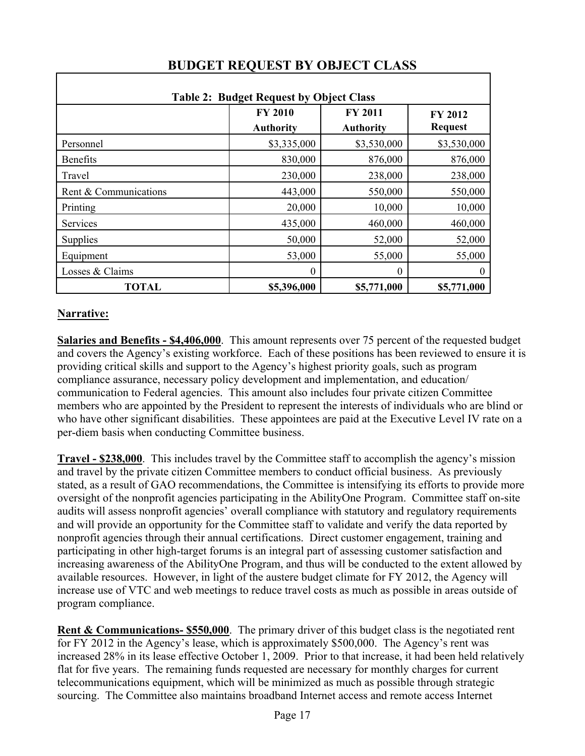|                       | <b>Table 2: Budget Request by Object Class</b><br><b>FY 2010</b> | <b>FY 2011</b>   | <b>FY 2012</b> |
|-----------------------|------------------------------------------------------------------|------------------|----------------|
|                       | <b>Authority</b>                                                 | <b>Authority</b> | <b>Request</b> |
| Personnel             | \$3,335,000                                                      | \$3,530,000      | \$3,530,000    |
| <b>Benefits</b>       | 830,000                                                          | 876,000          | 876,000        |
| Travel                | 230,000                                                          | 238,000          | 238,000        |
| Rent & Communications | 443,000                                                          | 550,000          | 550,000        |
| Printing              | 20,000                                                           | 10,000           | 10,000         |
| Services              | 435,000                                                          | 460,000          | 460,000        |
| Supplies              | 50,000                                                           | 52,000           | 52,000         |
| Equipment             | 53,000                                                           | 55,000           | 55,000         |
| Losses & Claims       | $\theta$                                                         | 0                | $\theta$       |
| <b>TOTAL</b>          | \$5,396,000                                                      | \$5,771,000      | \$5,771,000    |

# **BUDGET REQUEST BY OBJECT CLASS**

### **Narrative:**

**Salaries and Benefits - \$4,406,000**. This amount represents over 75 percent of the requested budget and covers the Agency's existing workforce. Each of these positions has been reviewed to ensure it is providing critical skills and support to the Agency's highest priority goals, such as program compliance assurance, necessary policy development and implementation, and education/ communication to Federal agencies. This amount also includes four private citizen Committee members who are appointed by the President to represent the interests of individuals who are blind or who have other significant disabilities. These appointees are paid at the Executive Level IV rate on a per-diem basis when conducting Committee business.

**Travel - \$238,000**. This includes travel by the Committee staff to accomplish the agency's mission and travel by the private citizen Committee members to conduct official business. As previously stated, as a result of GAO recommendations, the Committee is intensifying its efforts to provide more oversight of the nonprofit agencies participating in the AbilityOne Program. Committee staff on-site audits will assess nonprofit agencies' overall compliance with statutory and regulatory requirements and will provide an opportunity for the Committee staff to validate and verify the data reported by nonprofit agencies through their annual certifications. Direct customer engagement, training and participating in other high-target forums is an integral part of assessing customer satisfaction and increasing awareness of the AbilityOne Program, and thus will be conducted to the extent allowed by available resources. However, in light of the austere budget climate for FY 2012, the Agency will increase use of VTC and web meetings to reduce travel costs as much as possible in areas outside of program compliance.

 **Rent & Communications- \$550,000**. The primary driver of this budget class is the negotiated rent flat for five years. The remaining funds requested are necessary for monthly charges for current for FY 2012 in the Agency's lease, which is approximately \$500,000. The Agency's rent was increased 28% in its lease effective October 1, 2009. Prior to that increase, it had been held relatively telecommunications equipment, which will be minimized as much as possible through strategic sourcing. The Committee also maintains broadband Internet access and remote access Internet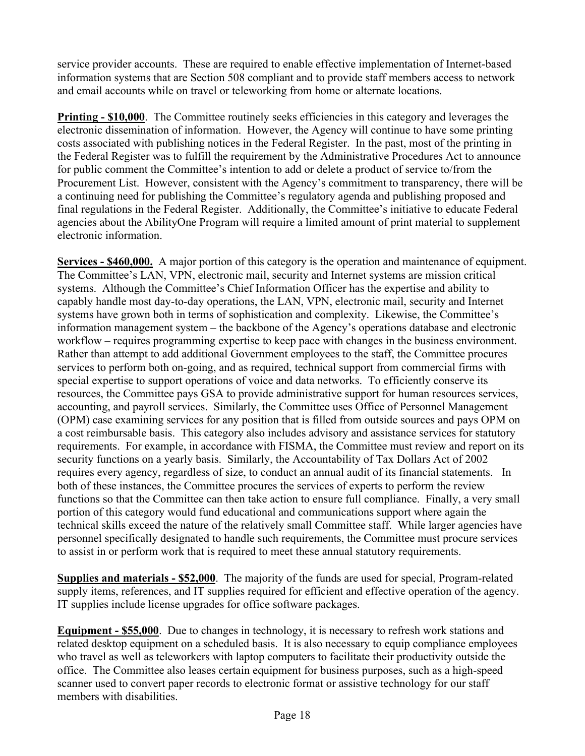service provider accounts. These are required to enable effective implementation of Internet-based information systems that are Section 508 compliant and to provide staff members access to network and email accounts while on travel or teleworking from home or alternate locations.

 electronic dissemination of information. However, the Agency will continue to have some printing **Printing - \$10,000**. The Committee routinely seeks efficiencies in this category and leverages the costs associated with publishing notices in the Federal Register. In the past, most of the printing in the Federal Register was to fulfill the requirement by the Administrative Procedures Act to announce for public comment the Committee's intention to add or delete a product of service to/from the Procurement List. However, consistent with the Agency's commitment to transparency, there will be a continuing need for publishing the Committee's regulatory agenda and publishing proposed and final regulations in the Federal Register. Additionally, the Committee's initiative to educate Federal agencies about the AbilityOne Program will require a limited amount of print material to supplement electronic information.

**Services - \$460,000.** A major portion of this category is the operation and maintenance of equipment. information management system – the backbone of the Agency's operations database and electronic workflow – requires programming expertise to keep pace with changes in the business environment. a cost reimbursable basis. This category also includes advisory and assistance services for statutory The Committee's LAN, VPN, electronic mail, security and Internet systems are mission critical systems. Although the Committee's Chief Information Officer has the expertise and ability to capably handle most day-to-day operations, the LAN, VPN, electronic mail, security and Internet systems have grown both in terms of sophistication and complexity. Likewise, the Committee's Rather than attempt to add additional Government employees to the staff, the Committee procures services to perform both on-going, and as required, technical support from commercial firms with special expertise to support operations of voice and data networks. To efficiently conserve its resources, the Committee pays GSA to provide administrative support for human resources services, accounting, and payroll services. Similarly, the Committee uses Office of Personnel Management (OPM) case examining services for any position that is filled from outside sources and pays OPM on requirements. For example, in accordance with FISMA, the Committee must review and report on its security functions on a yearly basis. Similarly, the Accountability of Tax Dollars Act of 2002 requires every agency, regardless of size, to conduct an annual audit of its financial statements. In both of these instances, the Committee procures the services of experts to perform the review functions so that the Committee can then take action to ensure full compliance. Finally, a very small portion of this category would fund educational and communications support where again the technical skills exceed the nature of the relatively small Committee staff. While larger agencies have personnel specifically designated to handle such requirements, the Committee must procure services to assist in or perform work that is required to meet these annual statutory requirements.

**Supplies and materials - \$52,000**. The majority of the funds are used for special, Program-related supply items, references, and IT supplies required for efficient and effective operation of the agency. IT supplies include license upgrades for office software packages.

**Equipment - \$55,000**. Due to changes in technology, it is necessary to refresh work stations and related desktop equipment on a scheduled basis. It is also necessary to equip compliance employees who travel as well as teleworkers with laptop computers to facilitate their productivity outside the office. The Committee also leases certain equipment for business purposes, such as a high-speed scanner used to convert paper records to electronic format or assistive technology for our staff members with disabilities.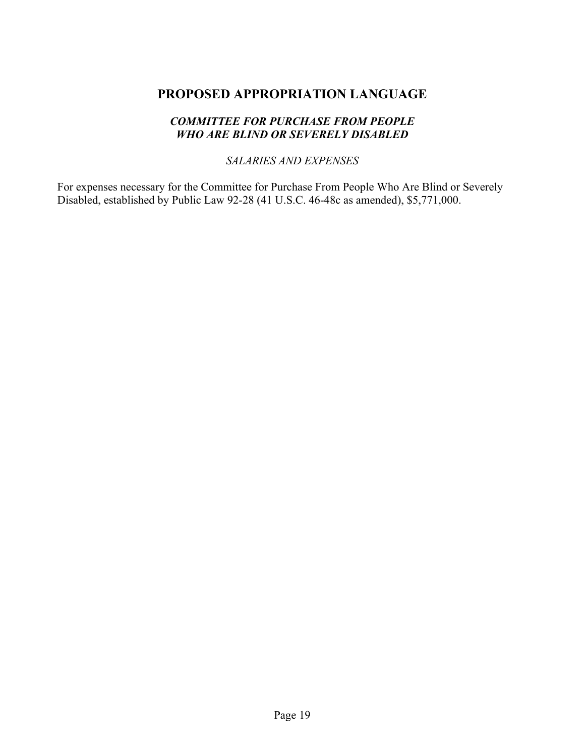### <span id="page-19-0"></span>**PROPOSED APPROPRIATION LANGUAGE**

#### *COMMITTEE FOR PURCHASE FROM PEOPLE WHO ARE BLIND OR SEVERELY DISABLED*

#### *SALARIES AND EXPENSES*

Disabled, established by Public Law 92-28 (41 U.S.C. 46-48c as amended), \$5,771,000. For expenses necessary for the Committee for Purchase From People Who Are Blind or Severely Disabled, established by Public Law 92-28 (41 U.S.C. 46-48c as amended), \$5,771,000. Page 19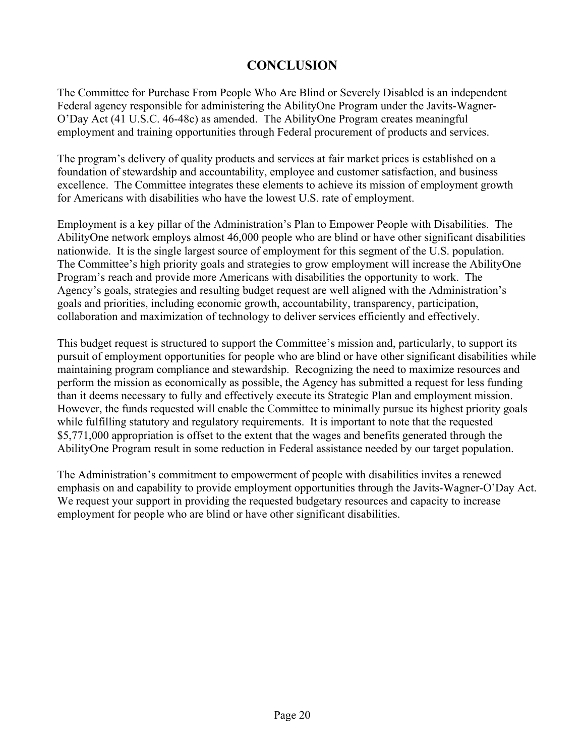# **CONCLUSION**

<span id="page-20-0"></span>The Committee for Purchase From People Who Are Blind or Severely Disabled is an independent Federal agency responsible for administering the AbilityOne Program under the Javits-Wagner-O'Day Act (41 U.S.C. 46-48c) as amended. The AbilityOne Program creates meaningful employment and training opportunities through Federal procurement of products and services.

The program's delivery of quality products and services at fair market prices is established on a foundation of stewardship and accountability, employee and customer satisfaction, and business excellence. The Committee integrates these elements to achieve its mission of employment growth for Americans with disabilities who have the lowest U.S. rate of employment.

Employment is a key pillar of the Administration's Plan to Empower People with Disabilities. The AbilityOne network employs almost 46,000 people who are blind or have other significant disabilities nationwide. It is the single largest source of employment for this segment of the U.S. population. The Committee's high priority goals and strategies to grow employment will increase the AbilityOne Program's reach and provide more Americans with disabilities the opportunity to work. The Agency's goals, strategies and resulting budget request are well aligned with the Administration's goals and priorities, including economic growth, accountability, transparency, participation, collaboration and maximization of technology to deliver services efficiently and effectively.

This budget request is structured to support the Committee's mission and, particularly, to support its pursuit of employment opportunities for people who are blind or have other significant disabilities while maintaining program compliance and stewardship. Recognizing the need to maximize resources and perform the mission as economically as possible, the Agency has submitted a request for less funding than it deems necessary to fully and effectively execute its Strategic Plan and employment mission. However, the funds requested will enable the Committee to minimally pursue its highest priority goals while fulfilling statutory and regulatory requirements. It is important to note that the requested \$5,771,000 appropriation is offset to the extent that the wages and benefits generated through the AbilityOne Program result in some reduction in Federal assistance needed by our target population.

The Administration's commitment to empowerment of people with disabilities invites a renewed emphasis on and capability to provide employment opportunities through the Javits-Wagner-O'Day Act. We request your support in providing the requested budgetary resources and capacity to increase employment for people who are blind or have other significant disabilities.